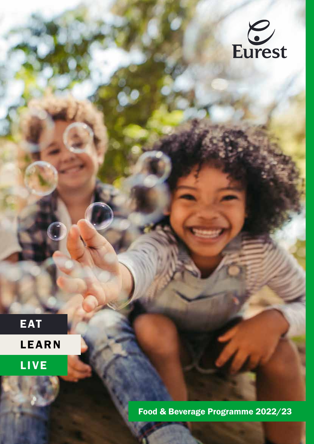

EAT

LEARN

LIVE

Food & Beverage Programme 2022/23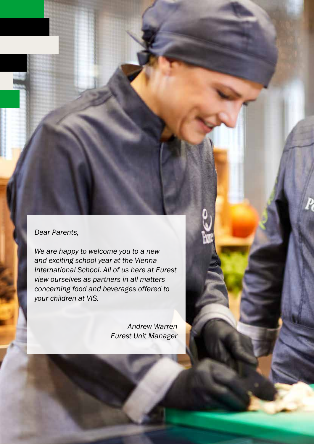### *Dear Parents,*

*We are happy to welcome you to a new and exciting school year at the Vienna International School. All of us here at Eurest view ourselves as partners in all matters concerning food and beverages offered to your children at VIS.*

> *Andrew Warren Eurest Unit Manager*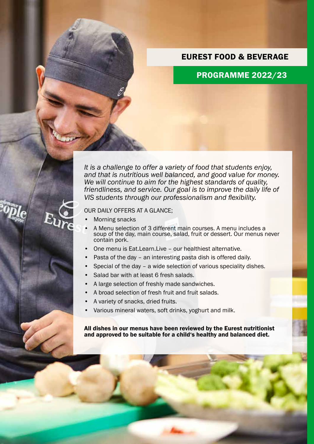### EUREST FOOD & BEVERAGE

# PROGRAMME 2022/23

*It is a challenge to offer a variety of food that students enjoy, and that is nutritious well balanced, and good value for money. We will continue to aim for the highest standards of quality, friendliness, and service. Our goal is to improve the daily life of VIS students through our professionalism and flexibility.*

### OUR DAILY OFFERS AT A GLANCE;

- Morning snacks
- A Menu selection of 3 different main courses. A menu includes a soup of the day, main course, salad, fruit or dessert. Our menus never contain pork.
- One menu is Eat.Learn.Live our healthiest alternative.
- Pasta of the day an interesting pasta dish is offered daily.
- Special of the day a wide selection of various speciality dishes.
- Salad bar with at least 6 fresh salads.
- A large selection of freshly made sandwiches.
- A broad selection of fresh fruit and fruit salads.
- A variety of snacks, dried fruits.
- Various mineral waters, soft drinks, yoghurt and milk.

All dishes in our menus have been reviewed by the Eurest nutritionist and approved to be suitable for a child's healthy and balanced diet.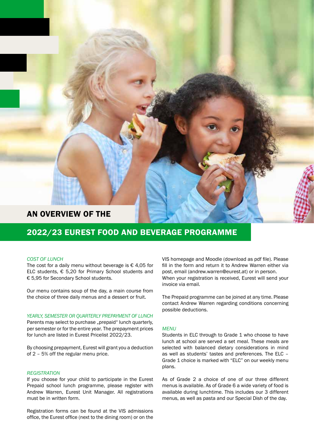### AN OVERVIEW OF THE

# 2022/23 EUREST FOOD AND BEVERAGE PROGRAMME

### *COST OF LUNCH*

The cost for a daily menu without beverage is  $\epsilon$  4,05 for ELC students, € 5,20 for Primary School students and € 5,95 for Secondary School students.

Our menu contains soup of the day, a main course from the choice of three daily menus and a dessert or fruit.

#### *YEARLY, SEMESTER OR QUARTERLY PREPAYMENT OF LUNCH*

Parents may select to purchase "prepaid" lunch quarterly, per semester or for the entire year. The prepayment prices for lunch are listed in Eurest Pricelist 2022/23.

By choosing prepayment, Eurest will grant you a deduction of 2 – 5% off the regular menu price.

### *REGISTRATION*

If you choose for your child to participate in the Eurest Prepaid school lunch programme, please register with Andrew Warren, Eurest Unit Manager. All registrations must be in written form.

Registration forms can be found at the VIS admissions office, the Eurest office (next to the dining room) or on the VIS homepage and Moodle (download as pdf file). Please fill in the form and return it to Andrew Warren either via post, email (andrew.warren@eurest.at) or in person. When your registration is received, Eurest will send your invoice via email.

The Prepaid programme can be joined at any time. Please contact Andrew Warren regarding conditions concerning possible deductions.

### *MENU*

Students in ELC through to Grade 1 who choose to have lunch at school are served a set meal. These meals are selected with balanced dietary considerations in mind as well as students' tastes and preferences. The ELC – Grade 1 choice is marked with "ELC" on our weekly menu plans.

As of Grade 2 a choice of one of our three different menus is available. As of Grade 6 a wide variety of food is available during lunchtime. This includes our 3 different menus, as well as pasta and our Special Dish of the day.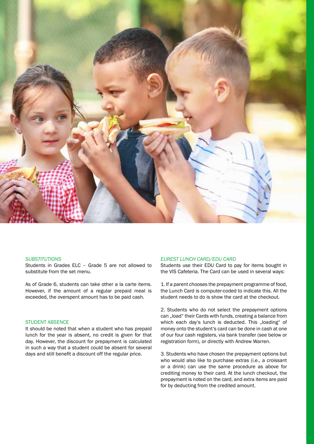

#### *SUBSTITUTIONS*

Students in Grades ELC – Grade 5 are not allowed to substitute from the set menu.

As of Grade 6, students can take other a la carte items. However, if the amount of a regular prepaid meal is exceeded, the overspent amount has to be paid cash.

### STUDENT ABSENCE

It should be noted that when a student who has prepaid lunch for the year is absent, no credit is given for that day. However, the discount for prepayment is calculated in such a way that a student could be absent for several days and still benefit a discount off the regular price.

#### *EUREST LUNCH CARD/EDU CARD*

Students use their EDU Card to pay for items bought in the VIS Cafeteria. The Card can be used in several ways:

1. If a parent chooses the prepayment programme of food, the Lunch Card is computer-coded to indicate this. All the student needs to do is show the card at the checkout.

2. Students who do not select the prepayment options can "load" their Cards with funds, creating a balance from which each day's lunch is deducted. This "loading" of money onto the student's card can be done in cash at one of our four cash registers, via bank transfer (see below or registration form), or directly with Andrew Warren.

3. Students who have chosen the prepayment options but who would also like to purchase extras (i.e., a croissant or a drink) can use the same procedure as above for crediting money to their card. At the lunch checkout, the prepayment is noted on the card, and extra items are paid for by deducting from the credited amount.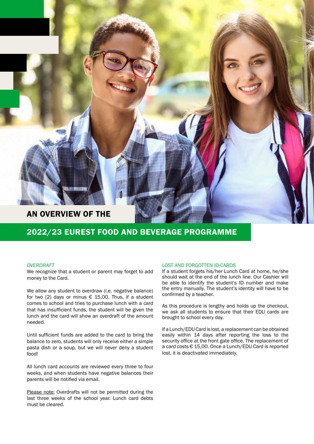

## 2022/23 EUREST FOOD AND BEVERAGE PROGRAMME

### *OVERDRAFT*

We recognize that a student or parent may forget to add money to the Card.

We allow any student to overdraw (i.e. negative balance) for two (2) days or minus  $\epsilon$  15,00. Thus, if a student comes to school and tries to purchase lunch with a card that has insufficient funds, the student will be given the lunch and the card will show an overdraft of the amount needed.

Until sufficient funds are added to the card to bring the balance to zero, students will only receive either a simple pasta dish or a soup, but we will never deny a student food!

All lunch card accounts are reviewed every three to four weeks, and when students have negative balances their parents will be notified via email.

Please note: Overdrafts will not be permitted during the last three weeks of the school year. Lunch card debts must be cleared.

### LOST AND FORGOTTEN ID-CARDS

If a student forgets his/her Lunch Card at home, he/she should wait at the end of the lunch line. Our Cashier will be able to identify the student's ID number and make the entry manually. The student's identity will have to be confirmed by a teacher.

As this procedure is lengthy and holds up the checkout, we ask all students to ensure that their EDU cards are brought to school every day.

If a Lunch/EDU Card is lost, a replacement can be obtained easily within 14 days after reporting the loss to the security office at the front gate office. The replacement of a card costs € 15,00. Once a Lunch/EDU Card is reported lost, it is deactivated immediately.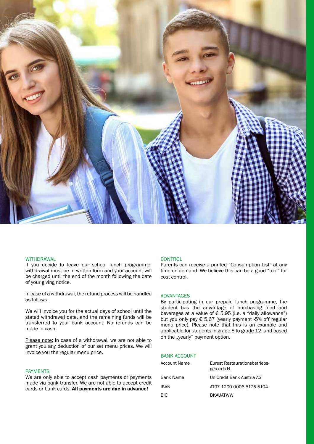

#### WITHDRAWAL

If you decide to leave our school lunch programme, withdrawal must be in written form and your account will be charged until the end of the month following the date of your giving notice.

In case of a withdrawal, the refund process will be handled as follows:

We will invoice you for the actual days of school until the stated withdrawal date, and the remaining funds will be transferred to your bank account. No refunds can be made in cash.

Please note: In case of a withdrawal, we are not able to grant you any deduction of our set menu prices. We will invoice you the regular menu price.

### PAYMENTS

We are only able to accept cash payments or payments made via bank transfer. We are not able to accept credit cards or bank cards. All payments are due in advance!

### **CONTROL**

Parents can receive a printed "Consumption List" at any time on demand. We believe this can be a good "tool" for cost control.

#### ADVANTAGES

By participating in our prepaid lunch programme, the student has the advantage of purchasing food and beverages at a value of  $\epsilon$  5,95 (i.e. a "daily allowance") but you only pay € 5,67 (yearly payment -5% off regular menu price). Please note that this is an example and applicable for students in grade 6 to grade 12, and based on the "yearly" payment option.

### BANK ACCOUNT

| Account Name | Eurest Restaurationsbetriebs-<br>ges.m.b.H. |
|--------------|---------------------------------------------|
| Bank Name    | UniCredit Bank Austria AG                   |
| IBAN         | AT97 1200 0006 5175 5104                    |
| <b>BIC</b>   | <b>BKAUATWW</b>                             |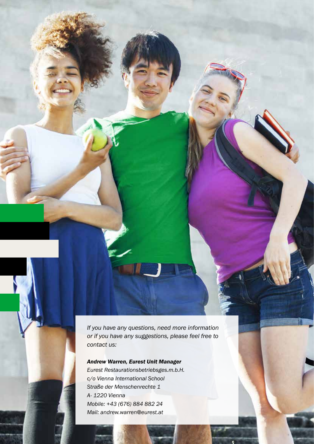*If you have any questions, need more information or if you have any suggestions, please feel free to contact us:*

*Andrew Warren, Eurest Unit Manager Eurest Restaurationsbetriebsges.m.b.H. c/o Vienna International School Straße der Menschenrechte 1 A- 1220 Vienna Mobile: +43 (676) 884 882 24 Mail: andrew.warren*@*eurest.at*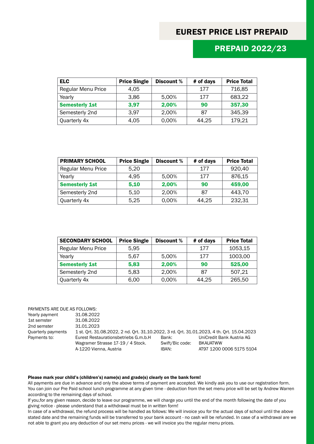## EUREST PRICE LIST PREPAID

## PREPAID 2022/23

| <b>ELC</b>                | <b>Price Single</b> | Discount % | # of days | <b>Price Total</b> |
|---------------------------|---------------------|------------|-----------|--------------------|
| <b>Regular Menu Price</b> | 4.05                |            | 177       | 716,85             |
| Yearly                    | 3,86                | 5,00%      | 177       | 683,22             |
| <b>Semesterly 1st</b>     | 3,97                | 2,00%      | 90        | 357,30             |
| Semesterly 2nd            | 3.97                | 2,00%      | 87        | 345,39             |
| Quarterly 4x              | 4,05                | 0,00%      | 44,25     | 179,21             |

| <b>PRIMARY SCHOOL</b> | <b>Price Single</b> | Discount % | # of days | <b>Price Total</b> |
|-----------------------|---------------------|------------|-----------|--------------------|
| Regular Menu Price    | 5,20                |            | 177       | 920,40             |
| Yearly                | 4.95                | 5,00%      | 177       | 876,15             |
| <b>Semesterly 1st</b> | 5,10                | 2,00%      | 90        | 459,00             |
| Semesterly 2nd        | 5,10                | 2,00%      | 87        | 443,70             |
| Quarterly 4x          | 5,25                | 0,00%      | 44.25     | 232,31             |

| <b>SECONDARY SCHOOL</b>   | <b>Price Single</b> | Discount % | # of days | <b>Price Total</b> |
|---------------------------|---------------------|------------|-----------|--------------------|
| <b>Regular Menu Price</b> | 5,95                |            | 177       | 1053,15            |
| Yearly                    | 5,67                | 5,00%      | 177       | 1003,00            |
| <b>Semesterly 1st</b>     | 5,83                | 2,00%      | 90        | 525,00             |
| Semesterly 2nd            | 5,83                | 2,00%      | 87        | 507,21             |
| Quarterly 4x              | 6,00                | 0,00%      | 44,25     | 265,50             |

| PAYMENTS ARE DUE AS FOLLOWS: |                                                                                            |                 |                           |
|------------------------------|--------------------------------------------------------------------------------------------|-----------------|---------------------------|
| Yearly payment               | 31.08.2022                                                                                 |                 |                           |
| 1st semster                  | 31.08.2022                                                                                 |                 |                           |
| 2nd semster                  | 31.01.2023                                                                                 |                 |                           |
| Quarterly payments           | 1 st. Ort. 31.08.2022, 2 nd. Ort. 31.10.2022, 3 rd. Ort. 31.01.2023, 4 th. Ort. 15.04.2023 |                 |                           |
| Payments to:                 | Eurest Restaurationsbetriebs G.m.b.H                                                       | Bank:           | UniCredit Bank Austria AG |
|                              | Wagramer Strasse 17-19 / 4 Stock.                                                          | Swift/Bic code: | <b>BKAUATWW</b>           |
|                              | A-1220 Vienna, Austria                                                                     | IBAN:           | AT97 1200 0006 5175 5104  |

### Please mark your child's (children's) name(s) and grade(s) clearly on the bank form!

All payments are due in advance and only the above terms of payment are accepted. We kindly ask you to use our registration form. You can join our Pre Paid school lunch programme at any given time - deduction from the set menu price will be set by Andrew Warren according to the remaining days of school.

If you,for any given reason, decide to leave our programme, we will charge you until the end of the month following the date of you giving notice - please understand that a withdrawal must be in written form!

In case of a withdrawal, the refund process will be handled as follows: We will invoice you for the actual days of school until the above stated date and the remaining funds will be transferred to your bank account - no cash will be refunded. In case of a withdrawal are we not able to grant you any deduction of our set menu prices - we will invoice you the regular menu prices.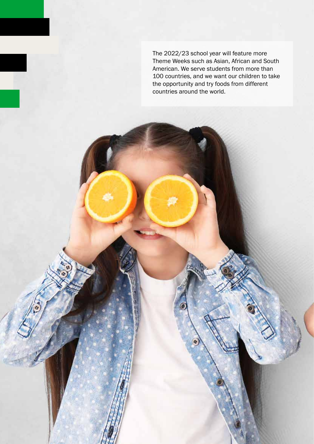The 2022/23 school year will feature more Theme Weeks such as Asian, African and South American. We serve students from more than 100 countries, and we want our children to take the opportunity and try foods from different countries around the world.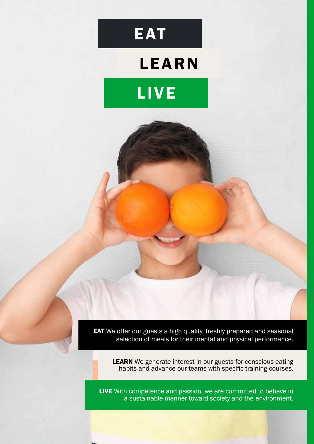

# LEARN



**EAT** We offer our guests a high quality, freshly prepared and seasonal selection of meals for their mental and physical performance.

**LEARN** We generate interest in our guests for conscious eating habits and advance our teams with specific training courses.

LIVE With competence and passion, we are committed to behave in a sustainable manner toward society and the environment.